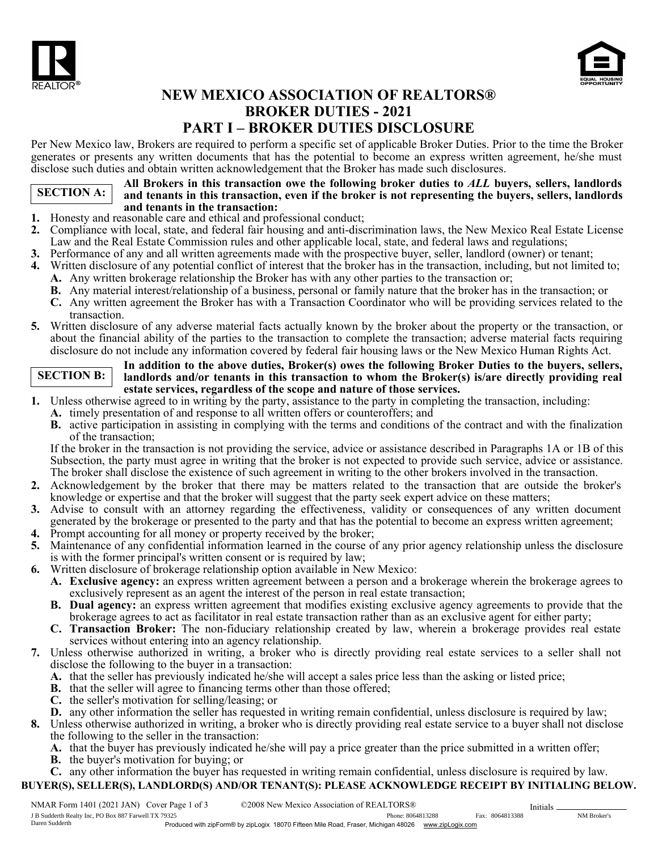



# NEW MEXICO ASSOCIATION OF REALTORS® BROKER DUTIES - 2021 PART I – BROKER DUTIES DISCLOSURE

Per New Mexico law, Brokers are required to perform a specific set of applicable Broker Duties. Prior to the time the Broker generates or presents any written documents that has the potential to become an express written agreement, he/she must disclose such duties and obtain written acknowledgement that the Broker has made such disclosures.

## SECTION A:

All Brokers in this transaction owe the following broker duties to *ALL* buyers, sellers, landlords and tenants in this transaction, even if the broker is not representing the buyers, sellers, landlords and tenants in the transaction:

- 1. Honesty and reasonable care and ethical and professional conduct;
- 2. Compliance with local, state, and federal fair housing and anti-discrimination laws, the New Mexico Real Estate License Law and the Real Estate Commission rules and other applicable local, state, and federal laws and regulations;
- 3. Performance of any and all written agreements made with the prospective buyer, seller, landlord (owner) or tenant;
- 4. Written disclosure of any potential conflict of interest that the broker has in the transaction, including, but not limited to; A. Any written brokerage relationship the Broker has with any other parties to the transaction or;
	- B. Any material interest/relationship of a business, personal or family nature that the broker has in the transaction; or
	- C. Any written agreement the Broker has with a Transaction Coordinator who will be providing services related to the transaction.
- 5. Written disclosure of any adverse material facts actually known by the broker about the property or the transaction, or about the financial ability of the parties to the transaction to complete the transaction; adverse material facts requiring disclosure do not include any information covered by federal fair housing laws or the New Mexico Human Rights Act.

### SECTION B:

In addition to the above duties, Broker(s) owes the following Broker Duties to the buyers, sellers, landlords and/or tenants in this transaction to whom the Broker(s) is/are directly providing real estate services, regardless of the scope and nature of those services.

- 1. Unless otherwise agreed to in writing by the party, assistance to the party in completing the transaction, including:
	- A. timely presentation of and response to all written offers or counteroffers; and
	- B. active participation in assisting in complying with the terms and conditions of the contract and with the finalization of the transaction;

If the broker in the transaction is not providing the service, advice or assistance described in Paragraphs 1A or 1B of this Subsection, the party must agree in writing that the broker is not expected to provide such service, advice or assistance. The broker shall disclose the existence of such agreement in writing to the other brokers involved in the transaction.

- 2. Acknowledgement by the broker that there may be matters related to the transaction that are outside the broker's knowledge or expertise and that the broker will suggest that the party seek expert advice on these matters;
- 3. Advise to consult with an attorney regarding the effectiveness, validity or consequences of any written document generated by the brokerage or presented to the party and that has the potential to become an express written agreement;
- 4. Prompt accounting for all money or property received by the broker;
- 5. Maintenance of any confidential information learned in the course of any prior agency relationship unless the disclosure is with the former principal's written consent or is required by law;
- 6. Written disclosure of brokerage relationship option available in New Mexico:
	- A. Exclusive agency: an express written agreement between a person and a brokerage wherein the brokerage agrees to exclusively represent as an agent the interest of the person in real estate transaction;
	- B. Dual agency: an express written agreement that modifies existing exclusive agency agreements to provide that the brokerage agrees to act as facilitator in real estate transaction rather than as an exclusive agent for either party;
	- C. Transaction Broker: The non-fiduciary relationship created by law, wherein a brokerage provides real estate services without entering into an agency relationship.
- 7. Unless otherwise authorized in writing, a broker who is directly providing real estate services to a seller shall not disclose the following to the buyer in a transaction:
	- A. that the seller has previously indicated he/she will accept a sales price less than the asking or listed price;
	- B. that the seller will agree to financing terms other than those offered;
	- C. the seller's motivation for selling/leasing; or
	- D. any other information the seller has requested in writing remain confidential, unless disclosure is required by law;

8. Unless otherwise authorized in writing, a broker who is directly providing real estate service to a buyer shall not disclose the following to the seller in the transaction:

- A. that the buyer has previously indicated he/she will pay a price greater than the price submitted in a written offer;
- B. the buyer's motivation for buying; or

C. any other information the buyer has requested in writing remain confidential, unless disclosure is required by law. BUYER(S), SELLER(S), LANDLORD(S) AND/OR TENANT(S): PLEASE ACKNOWLEDGE RECEIPT BY INITIALING BELOW.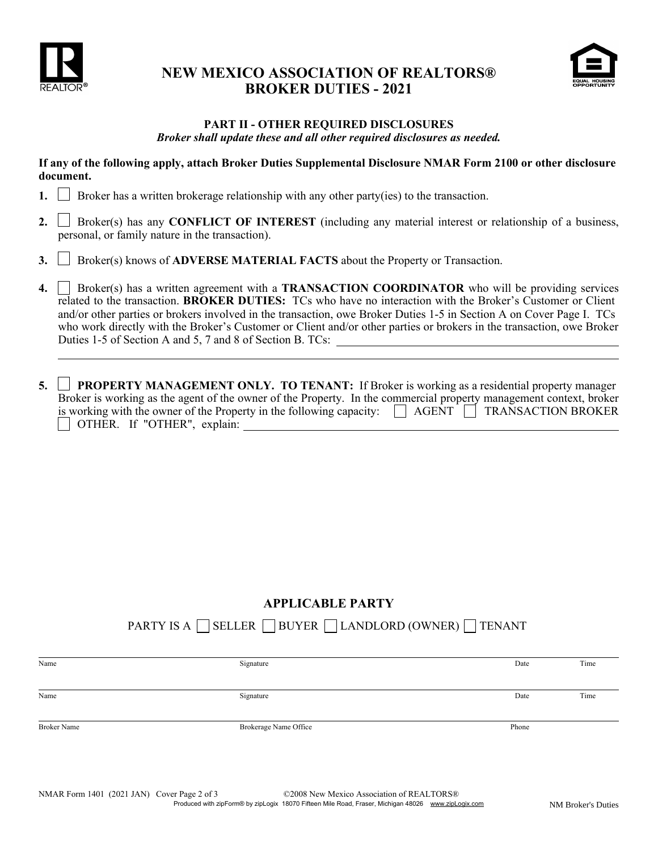

## NEW MEXICO ASSOCIATION OF REALTORS® BROKER DUTIES - 2021



#### PART II - OTHER REQUIRED DISCLOSURES *Broker shall update these and all other required disclosures as needed.*

If any of the following apply, attach Broker Duties Supplemental Disclosure NMAR Form 2100 or other disclosure document.

- 1.  $\parallel$  Broker has a written brokerage relationship with any other party(ies) to the transaction.
- 2. Broker(s) has any **CONFLICT OF INTEREST** (including any material interest or relationship of a business, personal, or family nature in the transaction).
- 3.  $\Box$  Broker(s) knows of **ADVERSE MATERIAL FACTS** about the Property or Transaction.
- 4. Simularly has a written agreement with a **TRANSACTION COORDINATOR** who will be providing services related to the transaction. BROKER DUTIES: TCs who have no interaction with the Broker's Customer or Client and/or other parties or brokers involved in the transaction, owe Broker Duties 1-5 in Section A on Cover Page I. TCs who work directly with the Broker's Customer or Client and/or other parties or brokers in the transaction, owe Broker Duties 1-5 of Section A and 5, 7 and 8 of Section B. TCs:
- 5.  $\Box$  PROPERTY MANAGEMENT ONLY. TO TENANT: If Broker is working as a residential property manager Broker is working as the agent of the owner of the Property. In the commercial property management context, broker is working with the owner of the Property in the following capacity:  $\Box$  AGENT  $\Box$  TRANSACTION BROKER OTHER. If "OTHER", explain:

### APPLICABLE PARTY

PARTY IS A  $\Box$  SELLER  $\Box$  BUYER  $\Box$  LANDLORD (OWNER)  $\Box$  TENANT

| Signature             | Date  | Time |
|-----------------------|-------|------|
|                       |       |      |
| Signature             | Date  | Time |
|                       |       |      |
| Brokerage Name Office | Phone |      |
|                       |       |      |